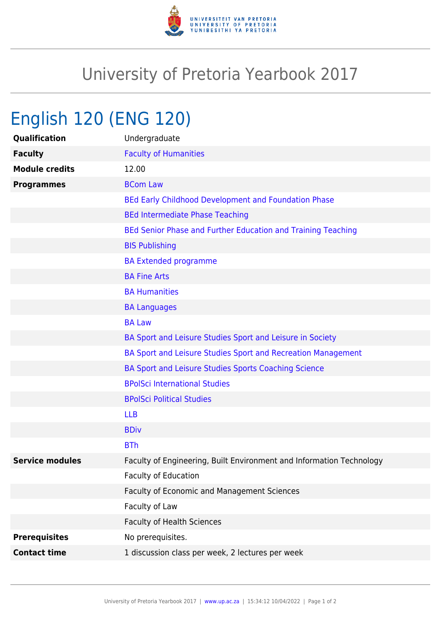

## University of Pretoria Yearbook 2017

## English 120 (ENG 120)

| Qualification          | Undergraduate                                                        |
|------------------------|----------------------------------------------------------------------|
| <b>Faculty</b>         | <b>Faculty of Humanities</b>                                         |
| <b>Module credits</b>  | 12.00                                                                |
| <b>Programmes</b>      | <b>BCom Law</b>                                                      |
|                        | BEd Early Childhood Development and Foundation Phase                 |
|                        | <b>BEd Intermediate Phase Teaching</b>                               |
|                        | BEd Senior Phase and Further Education and Training Teaching         |
|                        | <b>BIS Publishing</b>                                                |
|                        | <b>BA Extended programme</b>                                         |
|                        | <b>BA Fine Arts</b>                                                  |
|                        | <b>BA Humanities</b>                                                 |
|                        | <b>BA Languages</b>                                                  |
|                        | <b>BA Law</b>                                                        |
|                        | BA Sport and Leisure Studies Sport and Leisure in Society            |
|                        | BA Sport and Leisure Studies Sport and Recreation Management         |
|                        | BA Sport and Leisure Studies Sports Coaching Science                 |
|                        | <b>BPolSci International Studies</b>                                 |
|                        | <b>BPolSci Political Studies</b>                                     |
|                        | <b>LLB</b>                                                           |
|                        | <b>BDiv</b>                                                          |
|                        | <b>BTh</b>                                                           |
| <b>Service modules</b> | Faculty of Engineering, Built Environment and Information Technology |
|                        | <b>Faculty of Education</b>                                          |
|                        | Faculty of Economic and Management Sciences                          |
|                        | Faculty of Law                                                       |
|                        | <b>Faculty of Health Sciences</b>                                    |
| <b>Prerequisites</b>   | No prerequisites.                                                    |
| <b>Contact time</b>    | 1 discussion class per week, 2 lectures per week                     |
|                        |                                                                      |